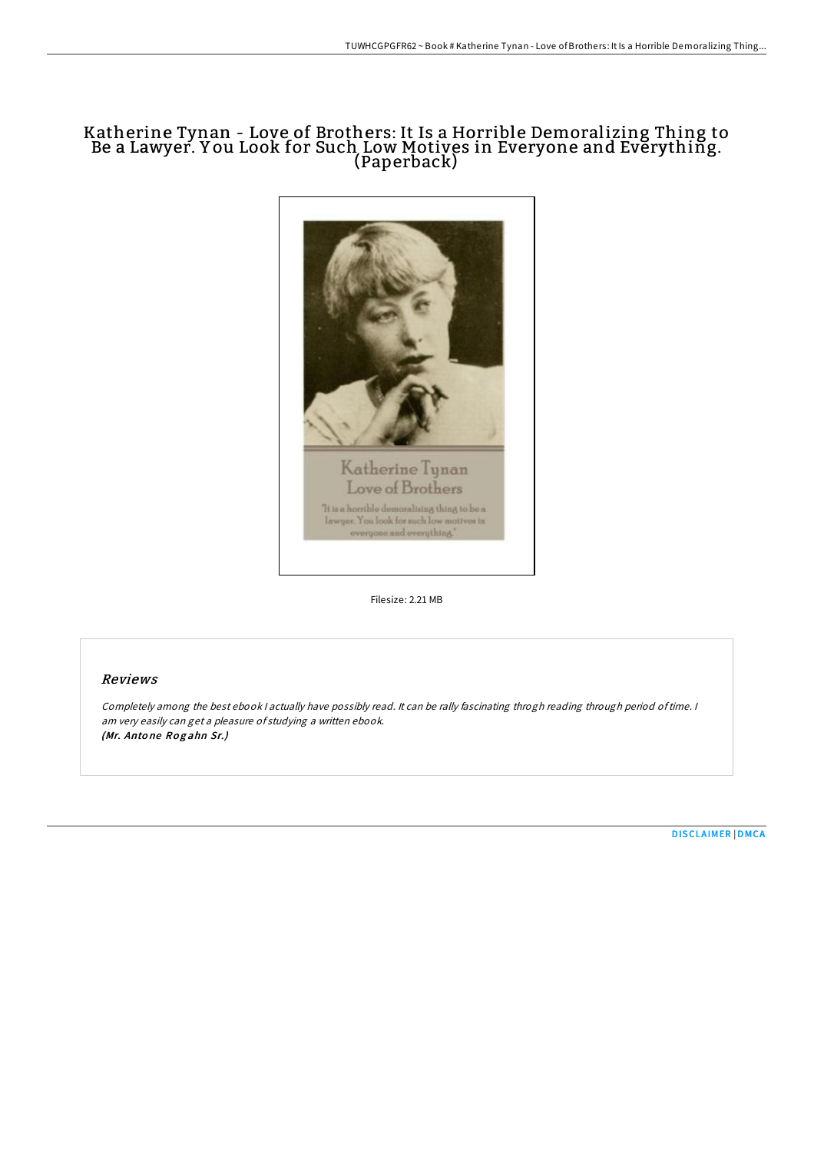# Katherine Tynan - Love of Brothers: It Is a Horrible Demoralizing Thing to Be a Lawyer. Y ou Look for Such Low Motives in Everyone and Everything. (Paperback)



Filesize: 2.21 MB

# Reviews

Completely among the best ebook <sup>I</sup> actually have possibly read. It can be rally fascinating throgh reading through period oftime. <sup>I</sup> am very easily can get <sup>a</sup> pleasure of studying <sup>a</sup> written ebook. (Mr. Antone Rogahn Sr.)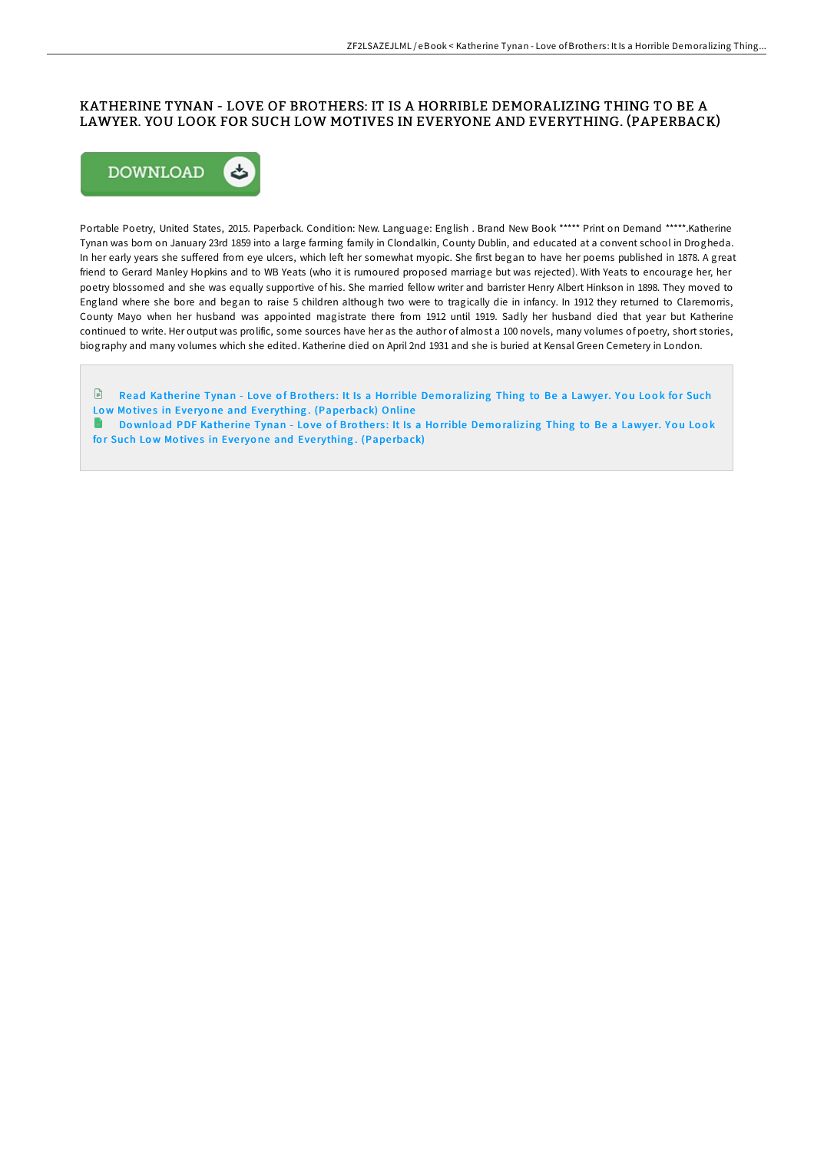# KATHERINE TYNAN - LOVE OF BROTHERS: IT IS A HORRIBLE DEMORALIZING THING TO BE A LAWYER. YOU LOOK FOR SUCH LOW MOTIVES IN EVERYONE AND EVERYTHING. (PAPERBACK)



Portable Poetry, United States, 2015. Paperback. Condition: New. Language: English . Brand New Book \*\*\*\*\* Print on Demand \*\*\*\*\*. Katherine Tynan was born on January 23rd 1859 into a large farming family in Clondalkin, County Dublin, and educated at a convent school in Drogheda. In her early years she suffered from eye ulcers, which left her somewhat myopic. She first began to have her poems published in 1878. A great friend to Gerard Manley Hopkins and to WB Yeats (who it is rumoured proposed marriage but was rejected). With Yeats to encourage her, her poetry blossomed and she was equally supportive of his. She married fellow writer and barrister Henry Albert Hinkson in 1898. They moved to England where she bore and began to raise 5 children although two were to tragically die in infancy. In 1912 they returned to Claremorris, County Mayo when her husband was appointed magistrate there from 1912 until 1919. Sadly her husband died that year but Katherine continued to write. Her output was prolific, some sources have her as the author of almost a 100 novels, many volumes of poetry, short stories, biography and many volumes which she edited. Katherine died on April 2nd 1931 and she is buried at Kensal Green Cemetery in London.

 $\Box$  Read Katherine Tynan - Love of Brothers: It Is a Horrible Demoralizing Thing to Be a Lawyer. You Look for Such Low Motives in Everyone and Eve[rything](http://almighty24.tech/katherine-tynan-love-of-brothers-it-is-a-horribl-1.html). (Paperback) Online

**Download PDF Katherine Tynan - Love of Brothers: It Is a Horrible Demoralizing Thing to Be a Lawyer. You Look** for Such Low Motives in Everyone and Eve[rything](http://almighty24.tech/katherine-tynan-love-of-brothers-it-is-a-horribl-1.html). (Paperback)